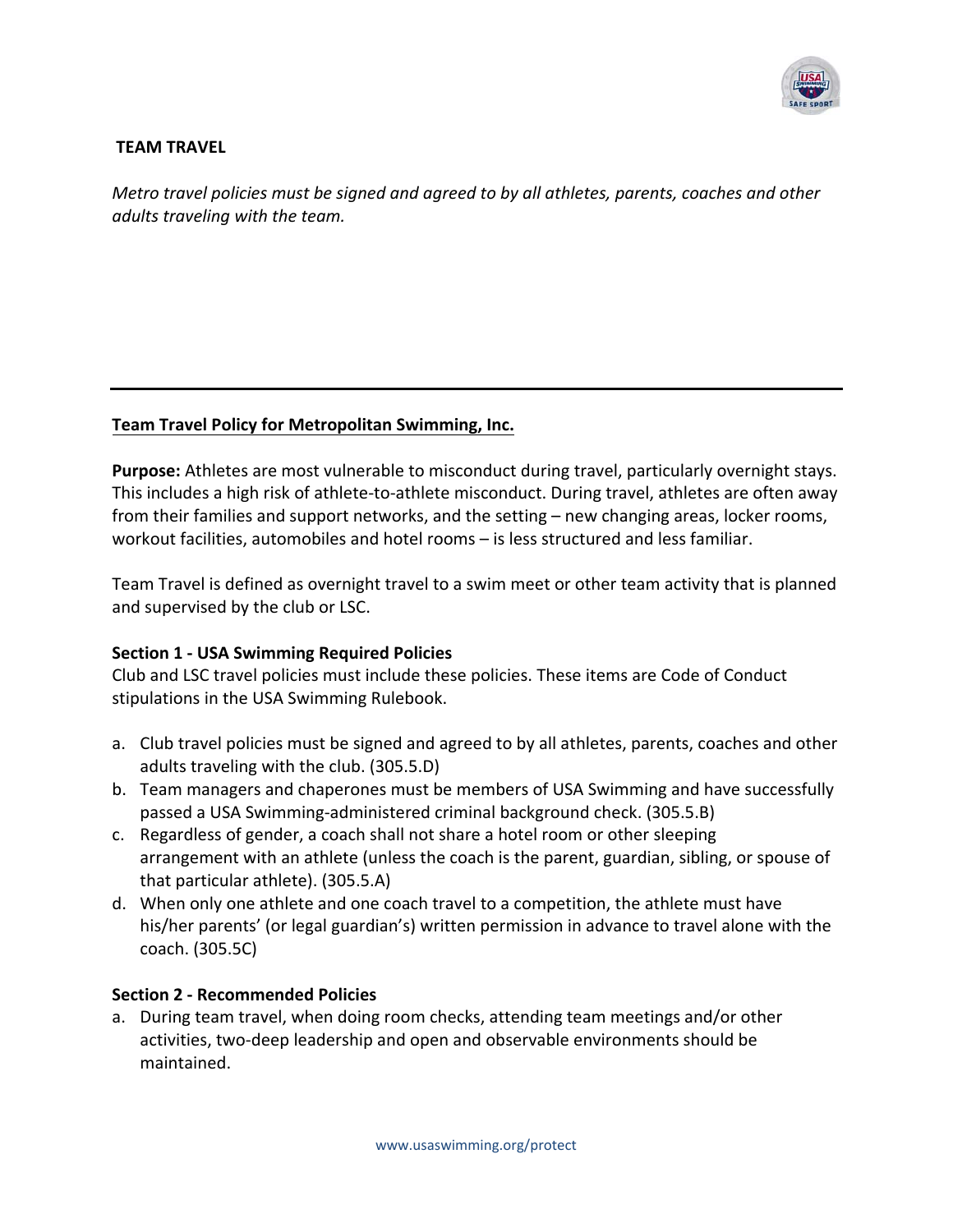

### **TEAM TRAVEL**

*Metro travel policies must be signed and agreed to by all athletes, parents, coaches and other adults traveling with the team.*

### **Team Travel Policy for Metropolitan Swimming, Inc.**

**Purpose:** Athletes are most vulnerable to misconduct during travel, particularly overnight stays. This includes a high risk of athlete‐to‐athlete misconduct. During travel, athletes are often away from their families and support networks, and the setting – new changing areas, locker rooms, workout facilities, automobiles and hotel rooms – is less structured and less familiar.

Team Travel is defined as overnight travel to a swim meet or other team activity that is planned and supervised by the club or LSC.

# **Section 1 ‐ USA Swimming Required Policies**

Club and LSC travel policies must include these policies. These items are Code of Conduct stipulations in the USA Swimming Rulebook.

- a. Club travel policies must be signed and agreed to by all athletes, parents, coaches and other adults traveling with the club. (305.5.D)
- b. Team managers and chaperones must be members of USA Swimming and have successfully passed a USA Swimming‐administered criminal background check. (305.5.B)
- c. Regardless of gender, a coach shall not share a hotel room or other sleeping arrangement with an athlete (unless the coach is the parent, guardian, sibling, or spouse of that particular athlete). (305.5.A)
- d. When only one athlete and one coach travel to a competition, the athlete must have his/her parents' (or legal guardian's) written permission in advance to travel alone with the coach. (305.5C)

### **Section 2 ‐ Recommended Policies**

a. During team travel, when doing room checks, attending team meetings and/or other activities, two‐deep leadership and open and observable environments should be maintained.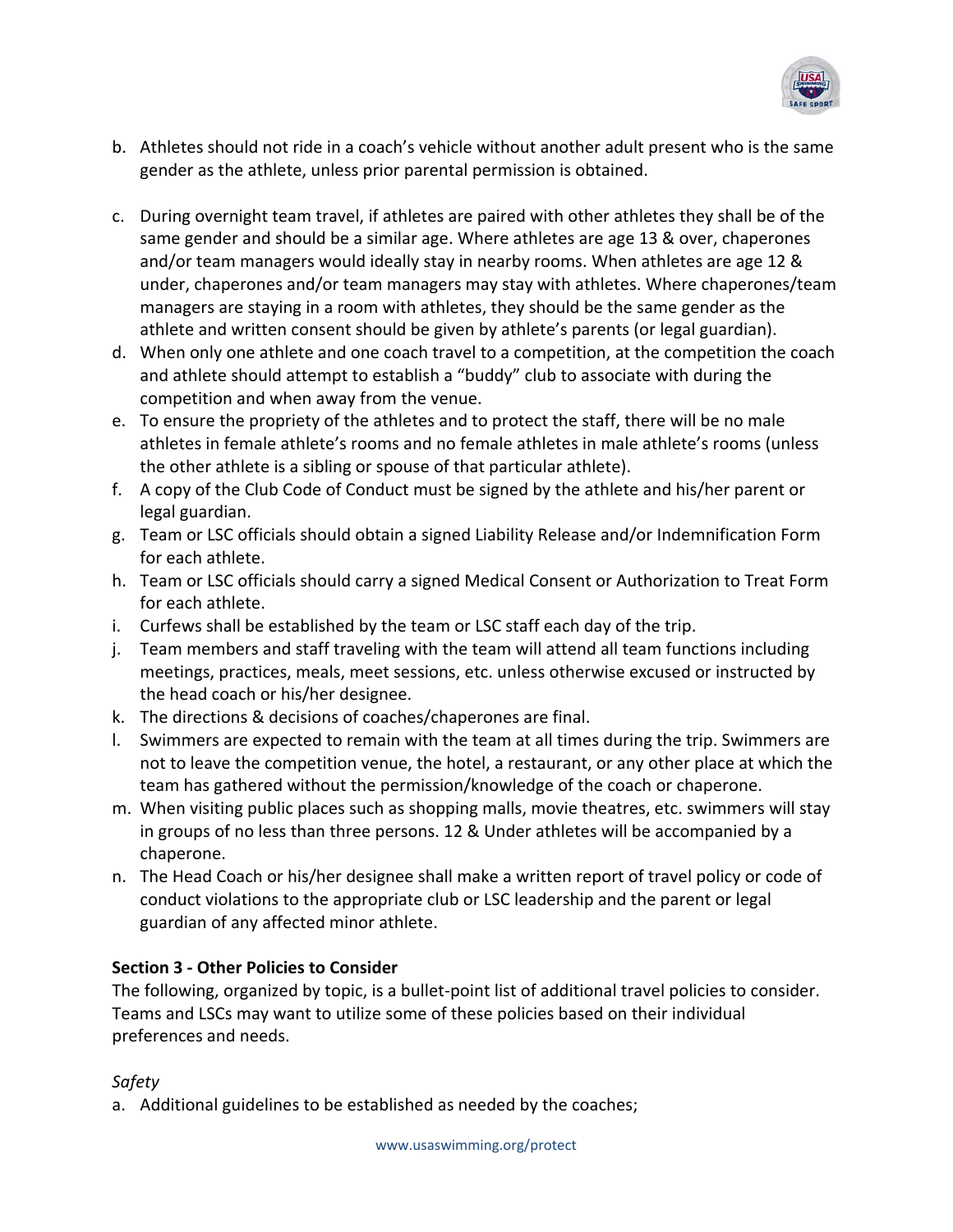

- b. Athletes should not ride in a coach's vehicle without another adult present who is the same gender as the athlete, unless prior parental permission is obtained.
- c. During overnight team travel, if athletes are paired with other athletes they shall be of the same gender and should be a similar age. Where athletes are age 13 & over, chaperones and/or team managers would ideally stay in nearby rooms. When athletes are age 12 & under, chaperones and/or team managers may stay with athletes. Where chaperones/team managers are staying in a room with athletes, they should be the same gender as the athlete and written consent should be given by athlete's parents (or legal guardian).
- d. When only one athlete and one coach travel to a competition, at the competition the coach and athlete should attempt to establish a "buddy" club to associate with during the competition and when away from the venue.
- e. To ensure the propriety of the athletes and to protect the staff, there will be no male athletes in female athlete's rooms and no female athletes in male athlete's rooms (unless the other athlete is a sibling or spouse of that particular athlete).
- f. A copy of the Club Code of Conduct must be signed by the athlete and his/her parent or legal guardian.
- g. Team or LSC officials should obtain a signed Liability Release and/or Indemnification Form for each athlete.
- h. Team or LSC officials should carry a signed Medical Consent or Authorization to Treat Form for each athlete.
- i. Curfews shall be established by the team or LSC staff each day of the trip.
- j. Team members and staff traveling with the team will attend all team functions including meetings, practices, meals, meet sessions, etc. unless otherwise excused or instructed by the head coach or his/her designee.
- k. The directions & decisions of coaches/chaperones are final.
- l. Swimmers are expected to remain with the team at all times during the trip. Swimmers are not to leave the competition venue, the hotel, a restaurant, or any other place at which the team has gathered without the permission/knowledge of the coach or chaperone.
- m. When visiting public places such as shopping malls, movie theatres, etc. swimmers will stay in groups of no less than three persons. 12 & Under athletes will be accompanied by a chaperone.
- n. The Head Coach or his/her designee shall make a written report of travel policy or code of conduct violations to the appropriate club or LSC leadership and the parent or legal guardian of any affected minor athlete.

# **Section 3 ‐ Other Policies to Consider**

The following, organized by topic, is a bullet‐point list of additional travel policies to consider. Teams and LSCs may want to utilize some of these policies based on their individual preferences and needs.

# *Safety*

a. Additional guidelines to be established as needed by the coaches;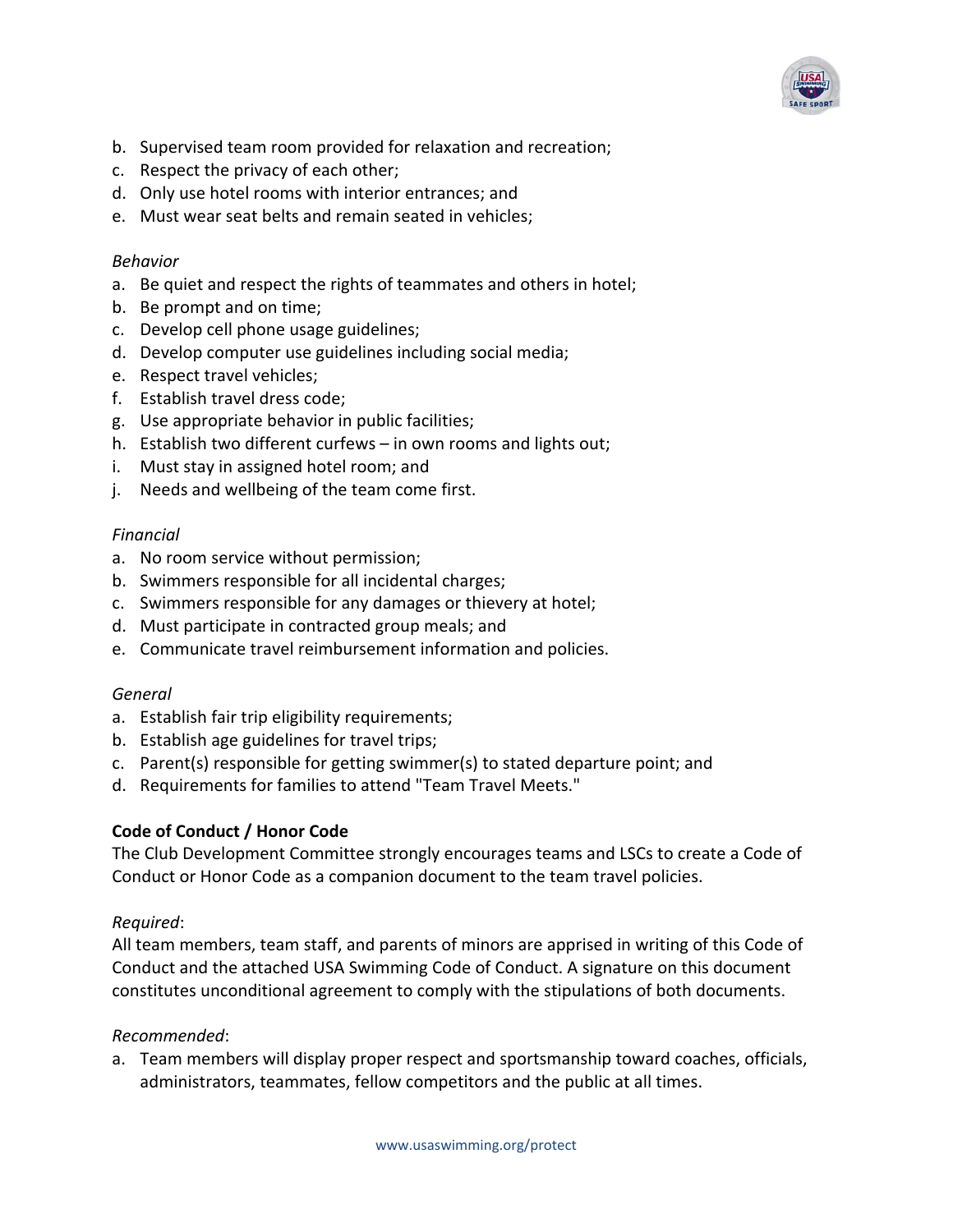

- b. Supervised team room provided for relaxation and recreation;
- c. Respect the privacy of each other;
- d. Only use hotel rooms with interior entrances; and
- e. Must wear seat belts and remain seated in vehicles;

#### *Behavior*

- a. Be quiet and respect the rights of teammates and others in hotel;
- b. Be prompt and on time;
- c. Develop cell phone usage guidelines;
- d. Develop computer use guidelines including social media;
- e. Respect travel vehicles;
- f. Establish travel dress code;
- g. Use appropriate behavior in public facilities;
- h. Establish two different curfews in own rooms and lights out;
- i. Must stay in assigned hotel room; and
- j. Needs and wellbeing of the team come first.

### *Financial*

- a. No room service without permission;
- b. Swimmers responsible for all incidental charges;
- c. Swimmers responsible for any damages or thievery at hotel;
- d. Must participate in contracted group meals; and
- e. Communicate travel reimbursement information and policies.

### *General*

- a. Establish fair trip eligibility requirements;
- b. Establish age guidelines for travel trips;
- c. Parent(s) responsible for getting swimmer(s) to stated departure point; and
- d. Requirements for families to attend "Team Travel Meets."

### **Code of Conduct / Honor Code**

The Club Development Committee strongly encourages teams and LSCs to create a Code of Conduct or Honor Code as a companion document to the team travel policies.

### *Required*:

All team members, team staff, and parents of minors are apprised in writing of this Code of Conduct and the attached USA Swimming Code of Conduct. A signature on this document constitutes unconditional agreement to comply with the stipulations of both documents.

### *Recommended*:

a. Team members will display proper respect and sportsmanship toward coaches, officials, administrators, teammates, fellow competitors and the public at all times.